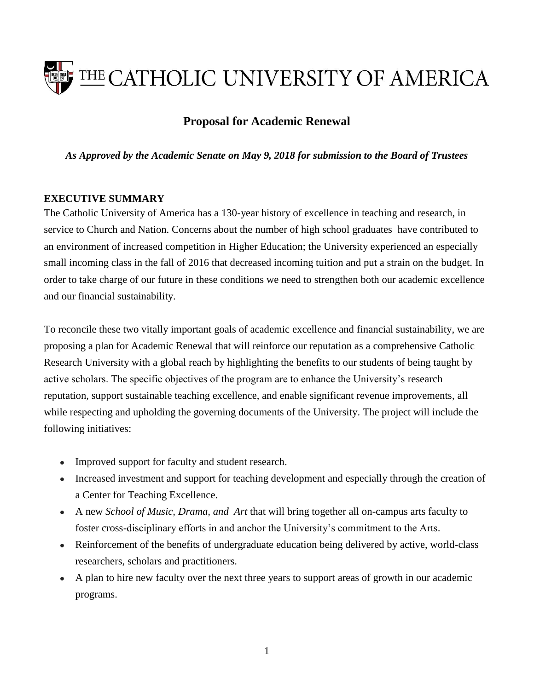

# **Proposal for Academic Renewal**

*As Approved by the Academic Senate on May 9, 2018 for submission to the Board of Trustees*

### **EXECUTIVE SUMMARY**

The Catholic University of America has a 130-year history of excellence in teaching and research, in service to Church and Nation. Concerns about the number of high school graduates have contributed to an environment of increased competition in Higher Education; the University experienced an especially small incoming class in the fall of 2016 that decreased incoming tuition and put a strain on the budget. In order to take charge of our future in these conditions we need to strengthen both our academic excellence and our financial sustainability.

To reconcile these two vitally important goals of academic excellence and financial sustainability, we are proposing a plan for Academic Renewal that will reinforce our reputation as a comprehensive Catholic Research University with a global reach by highlighting the benefits to our students of being taught by active scholars. The specific objectives of the program are to enhance the University's research reputation, support sustainable teaching excellence, and enable significant revenue improvements, all while respecting and upholding the governing documents of the University. The project will include the following initiatives:

- Improved support for faculty and student research.
- Increased investment and support for teaching development and especially through the creation of a Center for Teaching Excellence.
- A new *School of Music, Drama, and Art* that will bring together all on-campus arts faculty to foster cross-disciplinary efforts in and anchor the University's commitment to the Arts.
- Reinforcement of the benefits of undergraduate education being delivered by active, world-class researchers, scholars and practitioners.
- A plan to hire new faculty over the next three years to support areas of growth in our academic programs.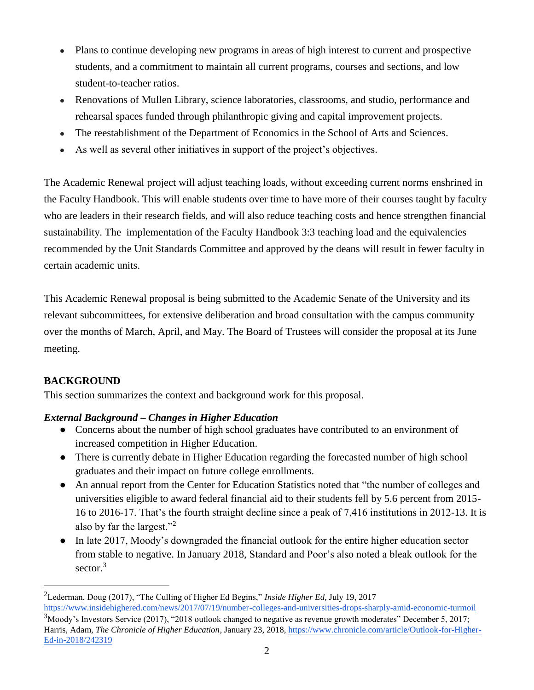- Plans to continue developing new programs in areas of high interest to current and prospective students, and a commitment to maintain all current programs, courses and sections, and low student-to-teacher ratios.
- Renovations of Mullen Library, science laboratories, classrooms, and studio, performance and rehearsal spaces funded through philanthropic giving and capital improvement projects.
- The reestablishment of the Department of Economics in the School of Arts and Sciences.
- As well as several other initiatives in support of the project's objectives.

The Academic Renewal project will adjust teaching loads, without exceeding current norms enshrined in the Faculty Handbook. This will enable students over time to have more of their courses taught by faculty who are leaders in their research fields, and will also reduce teaching costs and hence strengthen financial sustainability. The implementation of the Faculty Handbook 3:3 teaching load and the equivalencies recommended by the Unit Standards Committee and approved by the deans will result in fewer faculty in certain academic units.

This Academic Renewal proposal is being submitted to the Academic Senate of the University and its relevant subcommittees, for extensive deliberation and broad consultation with the campus community over the months of March, April, and May. The Board of Trustees will consider the proposal at its June meeting.

# **BACKGROUND**

 $\overline{a}$ 

This section summarizes the context and background work for this proposal.

## *External Background – Changes in Higher Education*

- Concerns about the number of high school graduates have contributed to an environment of increased competition in Higher Education.
- There is currently debate in Higher Education regarding the forecasted number of high school graduates and their impact on future college enrollments.
- An annual report from the Center for Education Statistics noted that "the number of colleges and universities eligible to award federal financial aid to their students fell by 5.6 percent from 2015- 16 to 2016-17. That's the fourth straight decline since a peak of 7,416 institutions in 2012-13. It is also by far the largest."<sup>2</sup>
- In late 2017, Moody's downgraded the financial outlook for the entire higher education sector from stable to negative. In January 2018, Standard and Poor's also noted a bleak outlook for the sector.<sup>3</sup>

<sup>2</sup>Lederman, Doug (2017), "The Culling of Higher Ed Begins," *Inside Higher Ed*, July 19, 2017 <https://www.insidehighered.com/news/2017/07/19/number-colleges-and-universities-drops-sharply-amid-economic-turmoil>  $3$ Moody's Investors Service (2017), "2018 outlook changed to negative as revenue growth moderates" December 5, 2017; Harris, Adam, *The Chronicle of Higher Education*, January 23, 2018[, https://www.chronicle.com/article/Outlook-for-Higher-](https://www.chronicle.com/article/Outlook-for-Higher-Ed-in-2018/242319)[Ed-in-2018/242319](https://www.chronicle.com/article/Outlook-for-Higher-Ed-in-2018/242319)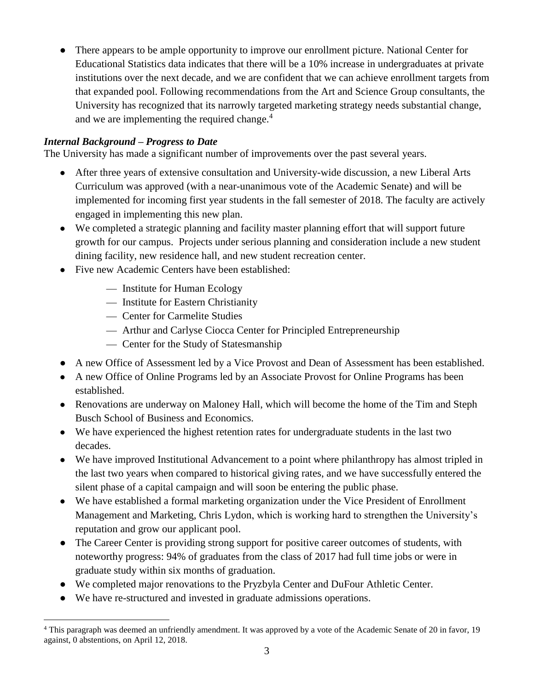● There appears to be ample opportunity to improve our enrollment picture. National Center for Educational Statistics data indicates that there will be a 10% increase in undergraduates at private institutions over the next decade, and we are confident that we can achieve enrollment targets from that expanded pool. Following recommendations from the Art and Science Group consultants, the University has recognized that its narrowly targeted marketing strategy needs substantial change, and we are implementing the required change.<sup>4</sup>

## *Internal Background – Progress to Date*

The University has made a significant number of improvements over the past several years.

- After three years of extensive consultation and University-wide discussion, a new Liberal Arts Curriculum was approved (with a near-unanimous vote of the Academic Senate) and will be implemented for incoming first year students in the fall semester of 2018. The faculty are actively engaged in implementing this new plan.
- We completed a strategic planning and facility master planning effort that will support future growth for our campus. Projects under serious planning and consideration include a new student dining facility, new residence hall, and new student recreation center.
- Five new Academic Centers have been established:
	- Institute for Human Ecology
	- Institute for Eastern Christianity
	- Center for Carmelite Studies
	- Arthur and Carlyse Ciocca Center for Principled Entrepreneurship
	- Center for the Study of Statesmanship
- A new Office of Assessment led by a Vice Provost and Dean of Assessment has been established.
- A new Office of Online Programs led by an Associate Provost for Online Programs has been established.
- Renovations are underway on Maloney Hall, which will become the home of the Tim and Steph Busch School of Business and Economics.
- We have experienced the highest retention rates for undergraduate students in the last two decades.
- We have improved Institutional Advancement to a point where philanthropy has almost tripled in the last two years when compared to historical giving rates, and we have successfully entered the silent phase of a capital campaign and will soon be entering the public phase.
- We have established a formal marketing organization under the Vice President of Enrollment Management and Marketing, Chris Lydon, which is working hard to strengthen the University's reputation and grow our applicant pool.
- The Career Center is providing strong support for positive career outcomes of students, with noteworthy progress: 94% of graduates from the class of 2017 had full time jobs or were in graduate study within six months of graduation.
- We completed major renovations to the Pryzbyla Center and DuFour Athletic Center.
- We have re-structured and invested in graduate admissions operations.

 $\overline{a}$ <sup>4</sup> This paragraph was deemed an unfriendly amendment. It was approved by a vote of the Academic Senate of 20 in favor, 19 against, 0 abstentions, on April 12, 2018.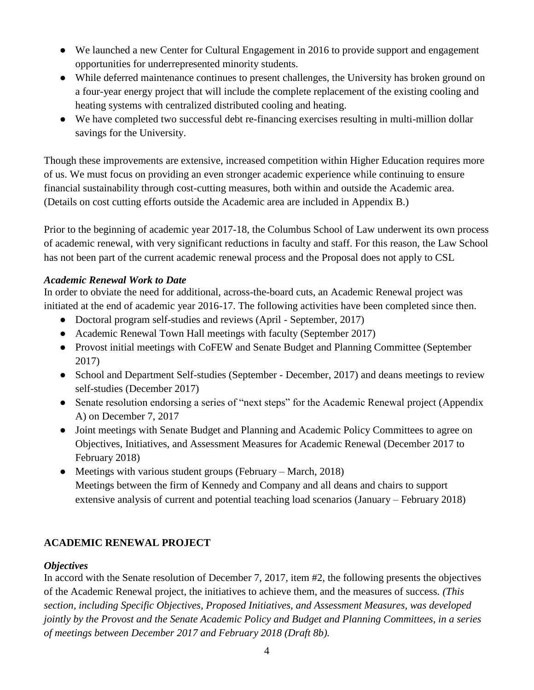- We launched a new Center for Cultural Engagement in 2016 to provide support and engagement opportunities for underrepresented minority students.
- While deferred maintenance continues to present challenges, the University has broken ground on a four-year energy project that will include the complete replacement of the existing cooling and heating systems with centralized distributed cooling and heating.
- We have completed two successful debt re-financing exercises resulting in multi-million dollar savings for the University.

Though these improvements are extensive, increased competition within Higher Education requires more of us. We must focus on providing an even stronger academic experience while continuing to ensure financial sustainability through cost-cutting measures, both within and outside the Academic area. (Details on cost cutting efforts outside the Academic area are included in Appendix B.)

Prior to the beginning of academic year 2017-18, the Columbus School of Law underwent its own process of academic renewal, with very significant reductions in faculty and staff. For this reason, the Law School has not been part of the current academic renewal process and the Proposal does not apply to CSL

### *Academic Renewal Work to Date*

In order to obviate the need for additional, across-the-board cuts, an Academic Renewal project was initiated at the end of academic year 2016-17. The following activities have been completed since then.

- Doctoral program self-studies and reviews (April September, 2017)
- Academic Renewal Town Hall meetings with faculty (September 2017)
- Provost initial meetings with CoFEW and Senate Budget and Planning Committee (September 2017)
- School and Department Self-studies (September December, 2017) and deans meetings to review self-studies (December 2017)
- Senate resolution endorsing a series of "next steps" for the Academic Renewal project (Appendix A) on December 7, 2017
- Joint meetings with Senate Budget and Planning and Academic Policy Committees to agree on Objectives, Initiatives, and Assessment Measures for Academic Renewal (December 2017 to February 2018)
- Meetings with various student groups (February March, 2018) Meetings between the firm of Kennedy and Company and all deans and chairs to support extensive analysis of current and potential teaching load scenarios (January – February 2018)

## **ACADEMIC RENEWAL PROJECT**

### *Objectives*

In accord with the Senate resolution of December 7, 2017, item #2, the following presents the objectives of the Academic Renewal project, the initiatives to achieve them, and the measures of success. *(This section, including Specific Objectives, Proposed Initiatives, and Assessment Measures, was developed jointly by the Provost and the Senate Academic Policy and Budget and Planning Committees, in a series of meetings between December 2017 and February 2018 (Draft 8b).*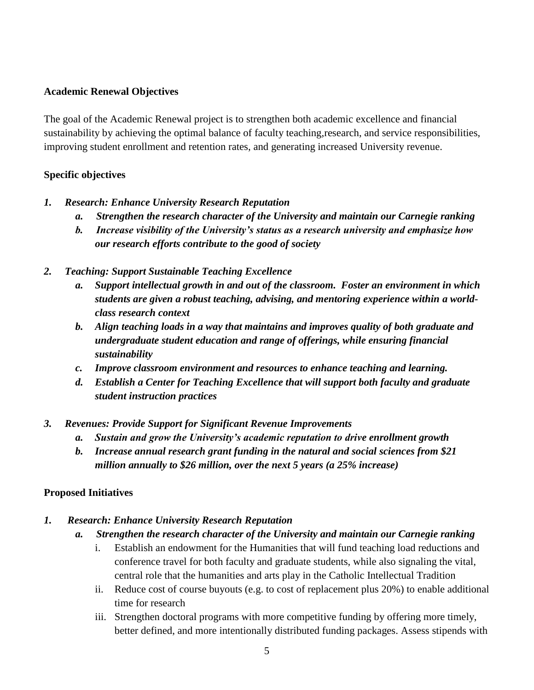### **Academic Renewal Objectives**

The goal of the Academic Renewal project is to strengthen both academic excellence and financial sustainability by achieving the optimal balance of faculty teaching,research, and service responsibilities, improving student enrollment and retention rates, and generating increased University revenue.

### **Specific objectives**

- *1. Research: Enhance University Research Reputation*
	- *a. Strengthen the research character of the University and maintain our Carnegie ranking*
	- *b. Increase visibility of the University's status as a research university and emphasize how our research efforts contribute to the good of society*
- *2. Teaching: Support Sustainable Teaching Excellence*
	- *a. Support intellectual growth in and out of the classroom. Foster an environment in which students are given a robust teaching, advising, and mentoring experience within a worldclass research context*
	- *b. Align teaching loads in a way that maintains and improves quality of both graduate and undergraduate student education and range of offerings, while ensuring financial sustainability*
	- *c. Improve classroom environment and resources to enhance teaching and learning.*
	- *d. Establish a Center for Teaching Excellence that will support both faculty and graduate student instruction practices*
- *3. Revenues: Provide Support for Significant Revenue Improvements*
	- *a. Sustain and grow the University's academic reputation to drive enrollment growth*
	- *b. Increase annual research grant funding in the natural and social sciences from \$21 million annually to \$26 million, over the next 5 years (a 25% increase)*

### **Proposed Initiatives**

- *1. Research: Enhance University Research Reputation*
	- *a. Strengthen the research character of the University and maintain our Carnegie ranking*
		- i. Establish an endowment for the Humanities that will fund teaching load reductions and conference travel for both faculty and graduate students, while also signaling the vital, central role that the humanities and arts play in the Catholic Intellectual Tradition
		- ii. Reduce cost of course buyouts (e.g. to cost of replacement plus 20%) to enable additional time for research
		- iii. Strengthen doctoral programs with more competitive funding by offering more timely, better defined, and more intentionally distributed funding packages. Assess stipends with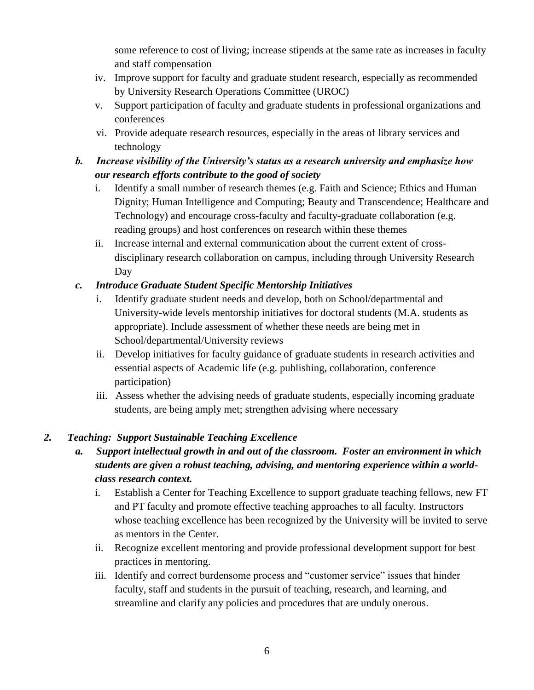some reference to cost of living; increase stipends at the same rate as increases in faculty and staff compensation

- iv. Improve support for faculty and graduate student research, especially as recommended by University Research Operations Committee (UROC)
- v. Support participation of faculty and graduate students in professional organizations and conferences
- vi. Provide adequate research resources, especially in the areas of library services and technology

# *b. Increase visibility of the University's status as a research university and emphasize how our research efforts contribute to the good of society*

- i. Identify a small number of research themes (e.g. Faith and Science; Ethics and Human Dignity; Human Intelligence and Computing; Beauty and Transcendence; Healthcare and Technology) and encourage cross-faculty and faculty-graduate collaboration (e.g. reading groups) and host conferences on research within these themes
- ii. Increase internal and external communication about the current extent of crossdisciplinary research collaboration on campus, including through University Research Day

# *c. Introduce Graduate Student Specific Mentorship Initiatives*

- i. Identify graduate student needs and develop, both on School/departmental and University-wide levels mentorship initiatives for doctoral students (M.A. students as appropriate). Include assessment of whether these needs are being met in School/departmental/University reviews
- ii. Develop initiatives for faculty guidance of graduate students in research activities and essential aspects of Academic life (e.g. publishing, collaboration, conference participation)
- iii. Assess whether the advising needs of graduate students, especially incoming graduate students, are being amply met; strengthen advising where necessary

# *2. Teaching: Support Sustainable Teaching Excellence*

- *a. Support intellectual growth in and out of the classroom. Foster an environment in which students are given a robust teaching, advising, and mentoring experience within a worldclass research context.*
	- i. Establish a Center for Teaching Excellence to support graduate teaching fellows, new FT and PT faculty and promote effective teaching approaches to all faculty. Instructors whose teaching excellence has been recognized by the University will be invited to serve as mentors in the Center.
	- ii. Recognize excellent mentoring and provide professional development support for best practices in mentoring.
	- iii. Identify and correct burdensome process and "customer service" issues that hinder faculty, staff and students in the pursuit of teaching, research, and learning, and streamline and clarify any policies and procedures that are unduly onerous.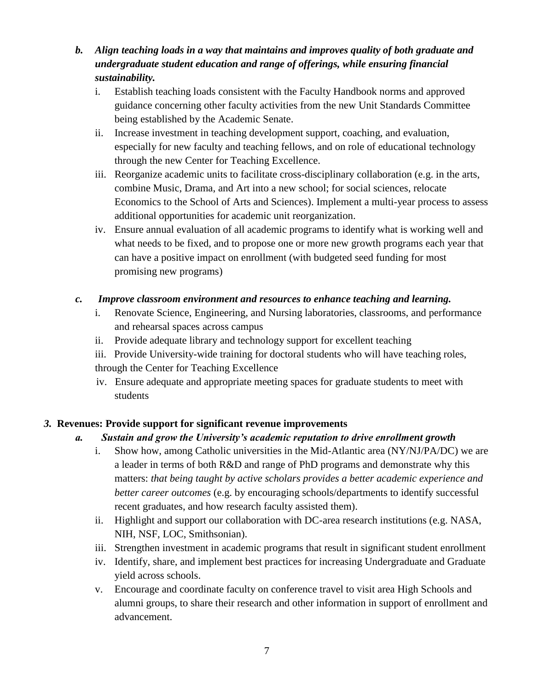- *b. Align teaching loads in a way that maintains and improves quality of both graduate and undergraduate student education and range of offerings, while ensuring financial sustainability.*
	- i. Establish teaching loads consistent with the Faculty Handbook norms and approved guidance concerning other faculty activities from the new Unit Standards Committee being established by the Academic Senate.
	- ii. Increase investment in teaching development support, coaching, and evaluation, especially for new faculty and teaching fellows, and on role of educational technology through the new Center for Teaching Excellence.
	- iii. Reorganize academic units to facilitate cross-disciplinary collaboration (e.g. in the arts, combine Music, Drama, and Art into a new school; for social sciences, relocate Economics to the School of Arts and Sciences). Implement a multi-year process to assess additional opportunities for academic unit reorganization.
	- iv. Ensure annual evaluation of all academic programs to identify what is working well and what needs to be fixed, and to propose one or more new growth programs each year that can have a positive impact on enrollment (with budgeted seed funding for most promising new programs)

## *c. Improve classroom environment and resources to enhance teaching and learning.*

- i. Renovate Science, Engineering, and Nursing laboratories, classrooms, and performance and rehearsal spaces across campus
- ii. Provide adequate library and technology support for excellent teaching
- iii. Provide University-wide training for doctoral students who will have teaching roles, through the Center for Teaching Excellence
- iv. Ensure adequate and appropriate meeting spaces for graduate students to meet with students

# *3.* **Revenues: Provide support for significant revenue improvements**

## *a. Sustain and grow the University's academic reputation to drive enrollment growth*

- i. Show how, among Catholic universities in the Mid-Atlantic area (NY/NJ/PA/DC) we are a leader in terms of both R&D and range of PhD programs and demonstrate why this matters: *that being taught by active scholars provides a better academic experience and better career outcomes* (e.g. by encouraging schools/departments to identify successful recent graduates, and how research faculty assisted them).
- ii. Highlight and support our collaboration with DC-area research institutions (e.g. NASA, NIH, NSF, LOC, Smithsonian).
- iii. Strengthen investment in academic programs that result in significant student enrollment
- iv. Identify, share, and implement best practices for increasing Undergraduate and Graduate yield across schools.
- v. Encourage and coordinate faculty on conference travel to visit area High Schools and alumni groups, to share their research and other information in support of enrollment and advancement.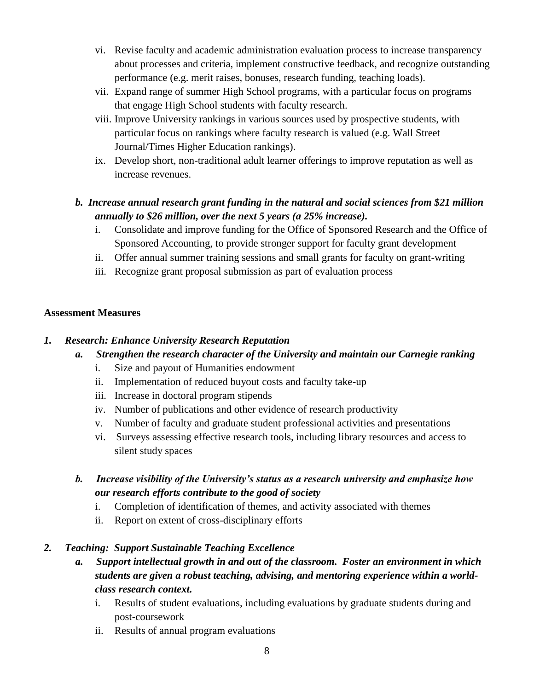- vi. Revise faculty and academic administration evaluation process to increase transparency about processes and criteria, implement constructive feedback, and recognize outstanding performance (e.g. merit raises, bonuses, research funding, teaching loads).
- vii. Expand range of summer High School programs, with a particular focus on programs that engage High School students with faculty research.
- viii. Improve University rankings in various sources used by prospective students, with particular focus on rankings where faculty research is valued (e.g. Wall Street Journal/Times Higher Education rankings).
- ix. Develop short, non-traditional adult learner offerings to improve reputation as well as increase revenues.

# *b. Increase annual research grant funding in the natural and social sciences from \$21 million annually to \$26 million, over the next 5 years (a 25% increase).*

- i. Consolidate and improve funding for the Office of Sponsored Research and the Office of Sponsored Accounting, to provide stronger support for faculty grant development
- ii. Offer annual summer training sessions and small grants for faculty on grant-writing
- iii. Recognize grant proposal submission as part of evaluation process

## **Assessment Measures**

## *1. Research: Enhance University Research Reputation*

## *a. Strengthen the research character of the University and maintain our Carnegie ranking*

- i. Size and payout of Humanities endowment
- ii. Implementation of reduced buyout costs and faculty take-up
- iii. Increase in doctoral program stipends
- iv. Number of publications and other evidence of research productivity
- v. Number of faculty and graduate student professional activities and presentations
- vi. Surveys assessing effective research tools, including library resources and access to silent study spaces
- *b. Increase visibility of the University's status as a research university and emphasize how our research efforts contribute to the good of society*
	- i. Completion of identification of themes, and activity associated with themes
	- ii. Report on extent of cross-disciplinary efforts

### *2. Teaching: Support Sustainable Teaching Excellence*

- *a. Support intellectual growth in and out of the classroom. Foster an environment in which students are given a robust teaching, advising, and mentoring experience within a worldclass research context.*
	- i. Results of student evaluations, including evaluations by graduate students during and post-coursework
	- ii. Results of annual program evaluations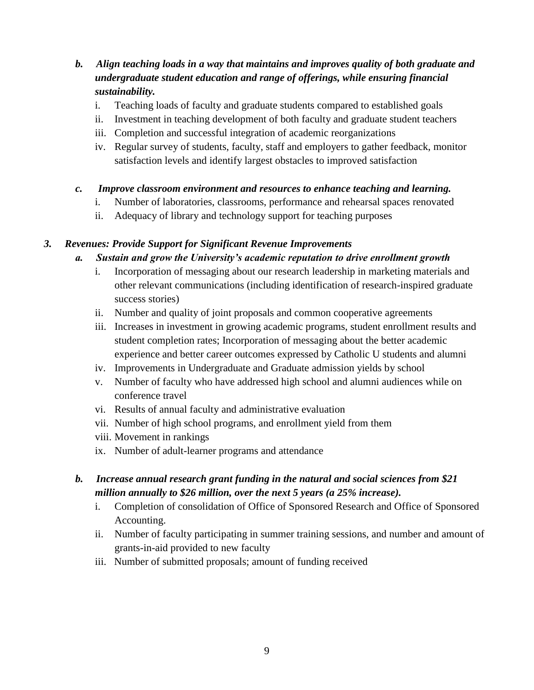## *b. Align teaching loads in a way that maintains and improves quality of both graduate and undergraduate student education and range of offerings, while ensuring financial sustainability.*

- i. Teaching loads of faculty and graduate students compared to established goals
- ii. Investment in teaching development of both faculty and graduate student teachers
- iii. Completion and successful integration of academic reorganizations
- iv. Regular survey of students, faculty, staff and employers to gather feedback, monitor satisfaction levels and identify largest obstacles to improved satisfaction

### *c. Improve classroom environment and resources to enhance teaching and learning.*

- i. Number of laboratories, classrooms, performance and rehearsal spaces renovated
- ii. Adequacy of library and technology support for teaching purposes

### *3. Revenues: Provide Support for Significant Revenue Improvements*

### *a. Sustain and grow the University's academic reputation to drive enrollment growth*

- i. Incorporation of messaging about our research leadership in marketing materials and other relevant communications (including identification of research-inspired graduate success stories)
- ii. Number and quality of joint proposals and common cooperative agreements
- iii. Increases in investment in growing academic programs, student enrollment results and student completion rates; Incorporation of messaging about the better academic experience and better career outcomes expressed by Catholic U students and alumni
- iv. Improvements in Undergraduate and Graduate admission yields by school
- v. Number of faculty who have addressed high school and alumni audiences while on conference travel
- vi. Results of annual faculty and administrative evaluation
- vii. Number of high school programs, and enrollment yield from them
- viii. Movement in rankings
- ix. Number of adult-learner programs and attendance

## *b. Increase annual research grant funding in the natural and social sciences from \$21 million annually to \$26 million, over the next 5 years (a 25% increase).*

- i. Completion of consolidation of Office of Sponsored Research and Office of Sponsored Accounting.
- ii. Number of faculty participating in summer training sessions, and number and amount of grants-in-aid provided to new faculty
- iii. Number of submitted proposals; amount of funding received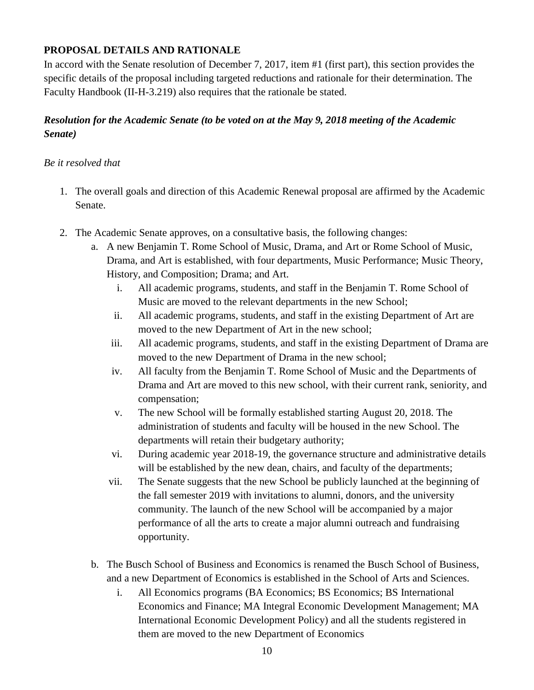## **PROPOSAL DETAILS AND RATIONALE**

In accord with the Senate resolution of December 7, 2017, item #1 (first part), this section provides the specific details of the proposal including targeted reductions and rationale for their determination. The Faculty Handbook (II-H-3.219) also requires that the rationale be stated.

## *Resolution for the Academic Senate (to be voted on at the May 9, 2018 meeting of the Academic Senate)*

### *Be it resolved that*

- 1. The overall goals and direction of this Academic Renewal proposal are affirmed by the Academic Senate.
- 2. The Academic Senate approves, on a consultative basis, the following changes:
	- a. A new Benjamin T. Rome School of Music, Drama, and Art or Rome School of Music, Drama, and Art is established, with four departments, Music Performance; Music Theory, History, and Composition; Drama; and Art.
		- i. All academic programs, students, and staff in the Benjamin T. Rome School of Music are moved to the relevant departments in the new School;
		- ii. All academic programs, students, and staff in the existing Department of Art are moved to the new Department of Art in the new school;
		- iii. All academic programs, students, and staff in the existing Department of Drama are moved to the new Department of Drama in the new school;
		- iv. All faculty from the Benjamin T. Rome School of Music and the Departments of Drama and Art are moved to this new school, with their current rank, seniority, and compensation;
		- v. The new School will be formally established starting August 20, 2018. The administration of students and faculty will be housed in the new School. The departments will retain their budgetary authority;
		- vi. During academic year 2018-19, the governance structure and administrative details will be established by the new dean, chairs, and faculty of the departments;
		- vii. The Senate suggests that the new School be publicly launched at the beginning of the fall semester 2019 with invitations to alumni, donors, and the university community. The launch of the new School will be accompanied by a major performance of all the arts to create a major alumni outreach and fundraising opportunity.
	- b. The Busch School of Business and Economics is renamed the Busch School of Business, and a new Department of Economics is established in the School of Arts and Sciences.
		- i. All Economics programs (BA Economics; BS Economics; BS International Economics and Finance; MA Integral Economic Development Management; MA International Economic Development Policy) and all the students registered in them are moved to the new Department of Economics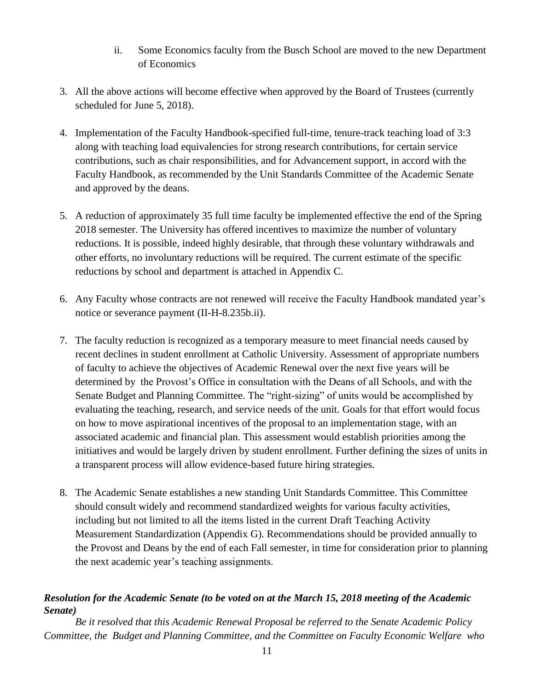- ii. Some Economics faculty from the Busch School are moved to the new Department of Economics
- 3. All the above actions will become effective when approved by the Board of Trustees (currently scheduled for June 5, 2018).
- 4. Implementation of the Faculty Handbook-specified full-time, tenure-track teaching load of 3:3 along with teaching load equivalencies for strong research contributions, for certain service contributions, such as chair responsibilities, and for Advancement support, in accord with the Faculty Handbook, as recommended by the Unit Standards Committee of the Academic Senate and approved by the deans.
- 5. A reduction of approximately 35 full time faculty be implemented effective the end of the Spring 2018 semester. The University has offered incentives to maximize the number of voluntary reductions. It is possible, indeed highly desirable, that through these voluntary withdrawals and other efforts, no involuntary reductions will be required. The current estimate of the specific reductions by school and department is attached in Appendix C.
- 6. Any Faculty whose contracts are not renewed will receive the Faculty Handbook mandated year's notice or severance payment (II-H-8.235b.ii).
- 7. The faculty reduction is recognized as a temporary measure to meet financial needs caused by recent declines in student enrollment at Catholic University. Assessment of appropriate numbers of faculty to achieve the objectives of Academic Renewal over the next five years will be determined by the Provost's Office in consultation with the Deans of all Schools, and with the Senate Budget and Planning Committee. The "right-sizing" of units would be accomplished by evaluating the teaching, research, and service needs of the unit. Goals for that effort would focus on how to move aspirational incentives of the proposal to an implementation stage, with an associated academic and financial plan. This assessment would establish priorities among the initiatives and would be largely driven by student enrollment. Further defining the sizes of units in a transparent process will allow evidence-based future hiring strategies.
- 8. The Academic Senate establishes a new standing Unit Standards Committee. This Committee should consult widely and recommend standardized weights for various faculty activities, including but not limited to all the items listed in the current Draft Teaching Activity Measurement Standardization (Appendix G). Recommendations should be provided annually to the Provost and Deans by the end of each Fall semester, in time for consideration prior to planning the next academic year's teaching assignments.

## *Resolution for the Academic Senate (to be voted on at the March 15, 2018 meeting of the Academic Senate)*

*Be it resolved that this Academic Renewal Proposal be referred to the Senate Academic Policy Committee, the Budget and Planning Committee, and the Committee on Faculty Economic Welfare who*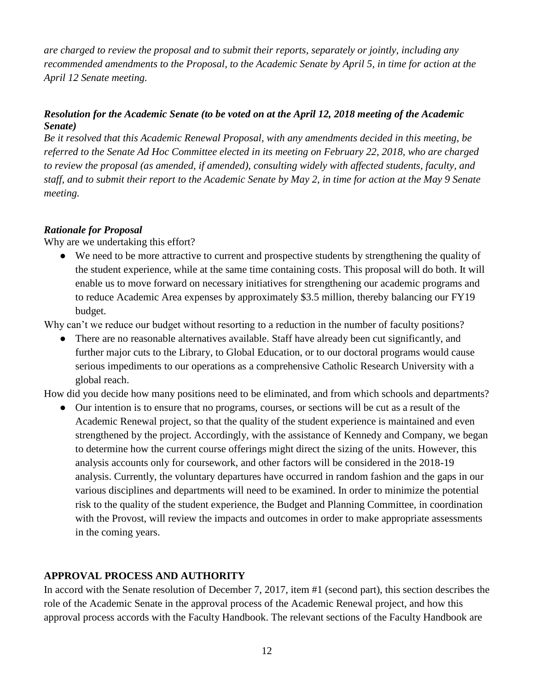*are charged to review the proposal and to submit their reports, separately or jointly, including any recommended amendments to the Proposal, to the Academic Senate by April 5, in time for action at the April 12 Senate meeting.* 

## *Resolution for the Academic Senate (to be voted on at the April 12, 2018 meeting of the Academic Senate)*

*Be it resolved that this Academic Renewal Proposal, with any amendments decided in this meeting, be referred to the Senate Ad Hoc Committee elected in its meeting on February 22, 2018, who are charged to review the proposal (as amended, if amended), consulting widely with affected students, faculty, and staff, and to submit their report to the Academic Senate by May 2, in time for action at the May 9 Senate meeting.* 

## *Rationale for Proposal*

Why are we undertaking this effort?

● We need to be more attractive to current and prospective students by strengthening the quality of the student experience, while at the same time containing costs. This proposal will do both. It will enable us to move forward on necessary initiatives for strengthening our academic programs and to reduce Academic Area expenses by approximately \$3.5 million, thereby balancing our FY19 budget.

Why can't we reduce our budget without resorting to a reduction in the number of faculty positions?

There are no reasonable alternatives available. Staff have already been cut significantly, and further major cuts to the Library, to Global Education, or to our doctoral programs would cause serious impediments to our operations as a comprehensive Catholic Research University with a global reach.

How did you decide how many positions need to be eliminated, and from which schools and departments?

● Our intention is to ensure that no programs, courses, or sections will be cut as a result of the Academic Renewal project, so that the quality of the student experience is maintained and even strengthened by the project. Accordingly, with the assistance of Kennedy and Company, we began to determine how the current course offerings might direct the sizing of the units. However, this analysis accounts only for coursework, and other factors will be considered in the 2018-19 analysis. Currently, the voluntary departures have occurred in random fashion and the gaps in our various disciplines and departments will need to be examined. In order to minimize the potential risk to the quality of the student experience, the Budget and Planning Committee, in coordination with the Provost, will review the impacts and outcomes in order to make appropriate assessments in the coming years.

## **APPROVAL PROCESS AND AUTHORITY**

In accord with the Senate resolution of December 7, 2017, item #1 (second part), this section describes the role of the Academic Senate in the approval process of the Academic Renewal project, and how this approval process accords with the Faculty Handbook. The relevant sections of the Faculty Handbook are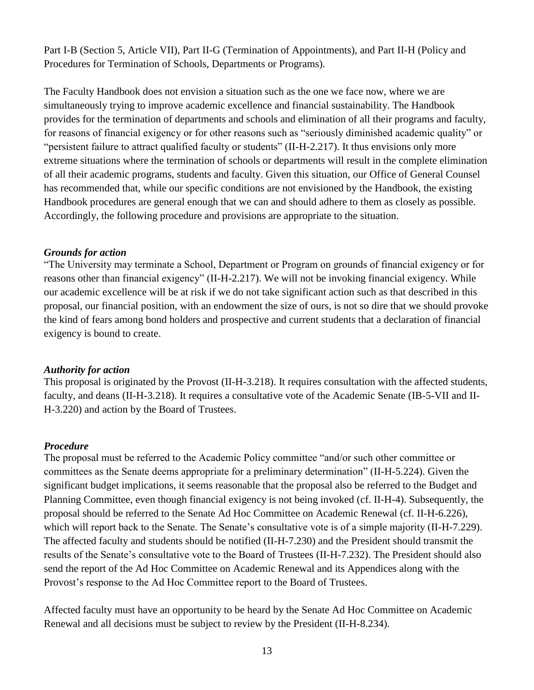Part I-B (Section 5, Article VII), Part II-G (Termination of Appointments), and Part II-H (Policy and Procedures for Termination of Schools, Departments or Programs).

The Faculty Handbook does not envision a situation such as the one we face now, where we are simultaneously trying to improve academic excellence and financial sustainability. The Handbook provides for the termination of departments and schools and elimination of all their programs and faculty, for reasons of financial exigency or for other reasons such as "seriously diminished academic quality" or "persistent failure to attract qualified faculty or students" (II-H-2.217). It thus envisions only more extreme situations where the termination of schools or departments will result in the complete elimination of all their academic programs, students and faculty. Given this situation, our Office of General Counsel has recommended that, while our specific conditions are not envisioned by the Handbook, the existing Handbook procedures are general enough that we can and should adhere to them as closely as possible. Accordingly, the following procedure and provisions are appropriate to the situation.

#### *Grounds for action*

"The University may terminate a School, Department or Program on grounds of financial exigency or for reasons other than financial exigency" (II-H-2.217). We will not be invoking financial exigency. While our academic excellence will be at risk if we do not take significant action such as that described in this proposal, our financial position, with an endowment the size of ours, is not so dire that we should provoke the kind of fears among bond holders and prospective and current students that a declaration of financial exigency is bound to create.

#### *Authority for action*

This proposal is originated by the Provost (II-H-3.218). It requires consultation with the affected students, faculty, and deans (II-H-3.218). It requires a consultative vote of the Academic Senate (IB-5-VII and II-H-3.220) and action by the Board of Trustees.

### *Procedure*

The proposal must be referred to the Academic Policy committee "and/or such other committee or committees as the Senate deems appropriate for a preliminary determination" (II-H-5.224). Given the significant budget implications, it seems reasonable that the proposal also be referred to the Budget and Planning Committee, even though financial exigency is not being invoked (cf. II-H-4). Subsequently, the proposal should be referred to the Senate Ad Hoc Committee on Academic Renewal (cf. II-H-6.226), which will report back to the Senate. The Senate's consultative vote is of a simple majority (II-H-7.229). The affected faculty and students should be notified (II-H-7.230) and the President should transmit the results of the Senate's consultative vote to the Board of Trustees (II-H-7.232). The President should also send the report of the Ad Hoc Committee on Academic Renewal and its Appendices along with the Provost's response to the Ad Hoc Committee report to the Board of Trustees.

Affected faculty must have an opportunity to be heard by the Senate Ad Hoc Committee on Academic Renewal and all decisions must be subject to review by the President (II-H-8.234).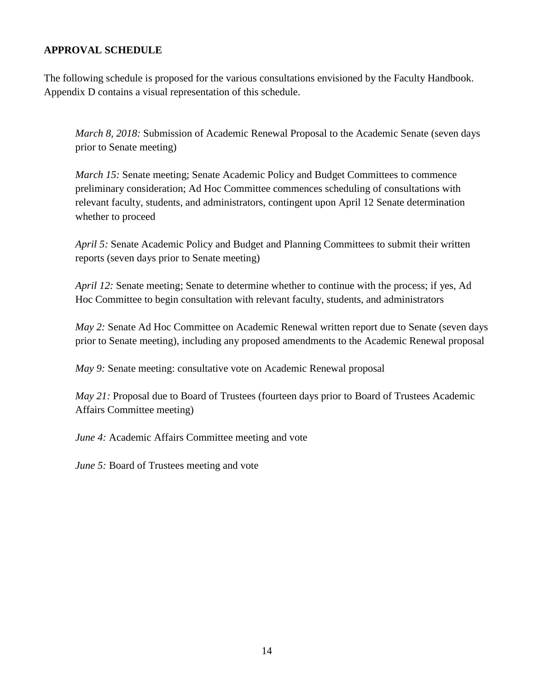### **APPROVAL SCHEDULE**

The following schedule is proposed for the various consultations envisioned by the Faculty Handbook. Appendix D contains a visual representation of this schedule.

*March 8, 2018:* Submission of Academic Renewal Proposal to the Academic Senate (seven days prior to Senate meeting)

*March 15:* Senate meeting; Senate Academic Policy and Budget Committees to commence preliminary consideration; Ad Hoc Committee commences scheduling of consultations with relevant faculty, students, and administrators, contingent upon April 12 Senate determination whether to proceed

*April 5:* Senate Academic Policy and Budget and Planning Committees to submit their written reports (seven days prior to Senate meeting)

*April 12:* Senate meeting; Senate to determine whether to continue with the process; if yes, Ad Hoc Committee to begin consultation with relevant faculty, students, and administrators

*May 2:* Senate Ad Hoc Committee on Academic Renewal written report due to Senate (seven days prior to Senate meeting), including any proposed amendments to the Academic Renewal proposal

*May 9:* Senate meeting: consultative vote on Academic Renewal proposal

*May 21:* Proposal due to Board of Trustees (fourteen days prior to Board of Trustees Academic Affairs Committee meeting)

*June 4:* Academic Affairs Committee meeting and vote

*June 5:* Board of Trustees meeting and vote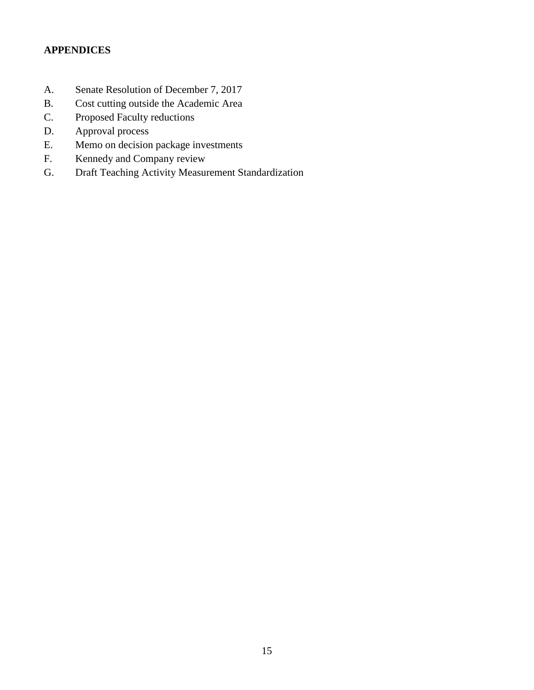# **APPENDICES**

- A. Senate Resolution of December 7, 2017
- B. Cost cutting outside the Academic Area
- C. Proposed Faculty reductions
- D. Approval process
- E. Memo on decision package investments
- F. Kennedy and Company review
- G. Draft Teaching Activity Measurement Standardization